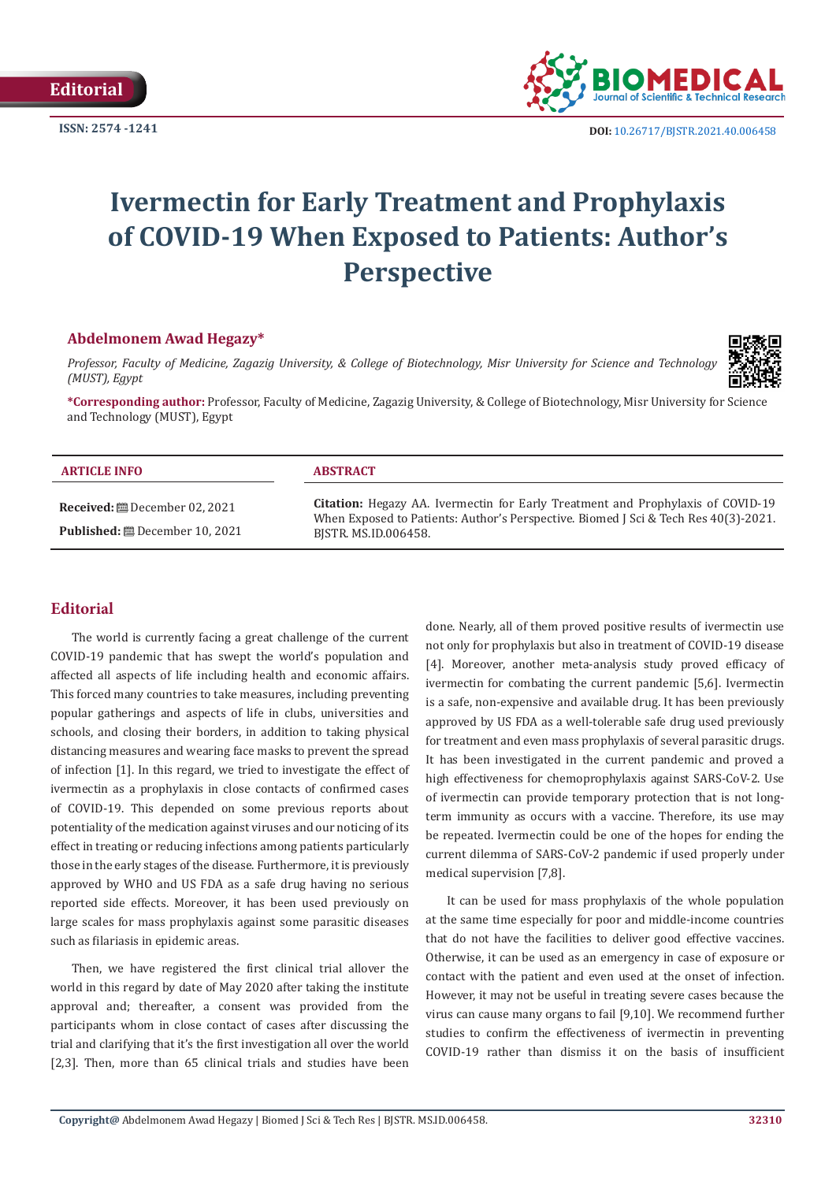

# **Ivermectin for Early Treatment and Prophylaxis of COVID-19 When Exposed to Patients: Author's Perspective**

## **Abdelmonem Awad Hegazy\***

*Professor, Faculty of Medicine, Zagazig University, & College of Biotechnology, Misr University for Science and Technology (MUST), Egypt*



**\*Corresponding author:** Professor, Faculty of Medicine, Zagazig University, & College of Biotechnology, Misr University for Science and Technology (MUST), Egypt

| <b>ARTICLE INFO</b>                                                                      | <b>ABSTRACT</b>                                                                                                                                                                                       |
|------------------------------------------------------------------------------------------|-------------------------------------------------------------------------------------------------------------------------------------------------------------------------------------------------------|
| <b>Received:</b> $\mathbf{B}$ December 02, 2021<br><b>Published:</b> ■ December 10, 2021 | <b>Citation:</b> Hegazy AA. Ivermectin for Early Treatment and Prophylaxis of COVID-19<br>When Exposed to Patients: Author's Perspective. Biomed J Sci & Tech Res 40(3)-2021.<br>BISTR. MS.ID.006458. |

# **Editorial**

The world is currently facing a great challenge of the current COVID-19 pandemic that has swept the world's population and affected all aspects of life including health and economic affairs. This forced many countries to take measures, including preventing popular gatherings and aspects of life in clubs, universities and schools, and closing their borders, in addition to taking physical distancing measures and wearing face masks to prevent the spread of infection [1]. In this regard, we tried to investigate the effect of ivermectin as a prophylaxis in close contacts of confirmed cases of COVID-19. This depended on some previous reports about potentiality of the medication against viruses and our noticing of its effect in treating or reducing infections among patients particularly those in the early stages of the disease. Furthermore, it is previously approved by WHO and US FDA as a safe drug having no serious reported side effects. Moreover, it has been used previously on large scales for mass prophylaxis against some parasitic diseases such as filariasis in epidemic areas.

Then, we have registered the first clinical trial allover the world in this regard by date of May 2020 after taking the institute approval and; thereafter, a consent was provided from the participants whom in close contact of cases after discussing the trial and clarifying that it's the first investigation all over the world [2,3]. Then, more than 65 clinical trials and studies have been

done. Nearly, all of them proved positive results of ivermectin use not only for prophylaxis but also in treatment of COVID-19 disease [4]. Moreover, another meta-analysis study proved efficacy of ivermectin for combating the current pandemic [5,6]. Ivermectin is a safe, non-expensive and available drug. It has been previously approved by US FDA as a well-tolerable safe drug used previously for treatment and even mass prophylaxis of several parasitic drugs. It has been investigated in the current pandemic and proved a high effectiveness for chemoprophylaxis against SARS-CoV-2. Use of ivermectin can provide temporary protection that is not longterm immunity as occurs with a vaccine. Therefore, its use may be repeated. Ivermectin could be one of the hopes for ending the current dilemma of SARS-CoV-2 pandemic if used properly under medical supervision [7,8].

It can be used for mass prophylaxis of the whole population at the same time especially for poor and middle-income countries that do not have the facilities to deliver good effective vaccines. Otherwise, it can be used as an emergency in case of exposure or contact with the patient and even used at the onset of infection. However, it may not be useful in treating severe cases because the virus can cause many organs to fail [9,10]. We recommend further studies to confirm the effectiveness of ivermectin in preventing COVID-19 rather than dismiss it on the basis of insufficient